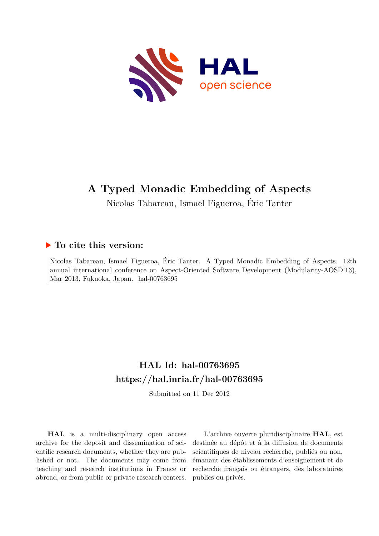

# **A Typed Monadic Embedding of Aspects**

Nicolas Tabareau, Ismael Figueroa, Éric Tanter

# **To cite this version:**

Nicolas Tabareau, Ismael Figueroa, Éric Tanter. A Typed Monadic Embedding of Aspects. 12th annual international conference on Aspect-Oriented Software Development (Modularity-AOSD'13), Mar 2013, Fukuoka, Japan. hal-00763695

# **HAL Id: hal-00763695 <https://hal.inria.fr/hal-00763695>**

Submitted on 11 Dec 2012

**HAL** is a multi-disciplinary open access archive for the deposit and dissemination of scientific research documents, whether they are published or not. The documents may come from teaching and research institutions in France or abroad, or from public or private research centers.

L'archive ouverte pluridisciplinaire **HAL**, est destinée au dépôt et à la diffusion de documents scientifiques de niveau recherche, publiés ou non, émanant des établissements d'enseignement et de recherche français ou étrangers, des laboratoires publics ou privés.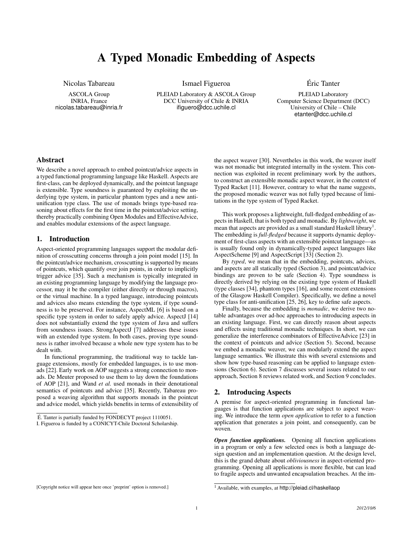# A Typed Monadic Embedding of Aspects

Nicolas Tabareau

ASCOLA Group INRIA, France nicolas.tabareau@inria.fr Ismael Figueroa

PLEIAD Laboratory & ASCOLA Group DCC University of Chile & INRIA ifiguero@dcc.uchile.cl

Éric Tanter

PLEIAD Laboratory Computer Science Department (DCC) University of Chile – Chile etanter@dcc.uchile.cl

# Abstract

We describe a novel approach to embed pointcut/advice aspects in a typed functional programming language like Haskell. Aspects are first-class, can be deployed dynamically, and the pointcut language is extensible. Type soundness is guaranteed by exploiting the underlying type system, in particular phantom types and a new antiunification type class. The use of monads brings type-based reasoning about effects for the first time in the pointcut/advice setting, thereby practically combining Open Modules and EffectiveAdvice, and enables modular extensions of the aspect language.

# 1. Introduction

Aspect-oriented programming languages support the modular definition of crosscutting concerns through a join point model [15]. In the pointcut/advice mechanism, crosscutting is supported by means of pointcuts, which quantify over join points, in order to implicitly trigger advice [35]. Such a mechanism is typically integrated in an existing programming language by modifying the language processor, may it be the compiler (either directly or through macros), or the virtual machine. In a typed language, introducing pointcuts and advices also means extending the type system, if type soundness is to be preserved. For instance, AspectML [6] is based on a specific type system in order to safely apply advice. AspectJ [14] does not substantially extend the type system of Java and suffers from soundness issues. StrongAspectJ [7] addresses these issues with an extended type system. In both cases, proving type soundness is rather involved because a whole new type system has to be dealt with.

In functional programming, the traditional way to tackle language extensions, mostly for embedded languages, is to use monads [22]. Early work on AOP suggests a strong connection to monads. De Meuter proposed to use them to lay down the foundations of AOP [21], and Wand *et al.* used monads in their denotational semantics of pointcuts and advice [35]. Recently, Tabareau proposed a weaving algorithm that supports monads in the pointcut and advice model, which yields benefits in terms of extensibility of

[Copyright notice will appear here once 'preprint' option is removed.]

the aspect weaver [30]. Nevertheles in this work, the weaver itself was not monadic but integrated internally in the system. This connection was exploited in recent preliminary work by the authors, to construct an extensible monadic aspect weaver, in the context of Typed Racket [11]. However, contrary to what the name suggests, the proposed monadic weaver was not fully typed because of limitations in the type system of Typed Racket.

This work proposes a lightweight, full-fledged embedding of aspects in Haskell, that is both typed and monadic. By *lightweight*, we mean that aspects are provided as a small standard Haskell library<sup>1</sup>. The embedding is *full-fledged* because it supports dynamic deployment of first-class aspects with an extensible pointcut language—as is usually found only in dynamically-typed aspect languages like AspectScheme [9] and AspectScript [33] (Section 2).

By *typed*, we mean that in the embedding, pointcuts, advices, and aspects are all statically typed (Section 3), and pointcut/advice bindings are proven to be safe (Section 4). Type soundness is directly derived by relying on the existing type system of Haskell (type classes [34], phantom types [16], and some recent extensions of the Glasgow Haskell Compiler). Specifically, we define a novel type class for anti-unification [25, 26], key to define safe aspects.

Finally, because the embedding is *monadic*, we derive two notable advantages over ad-hoc approaches to introducing aspects in an existing language. First, we can directly reason about aspects and effects using traditional monadic techniques. In short, we can generalize the interference combinators of EffectiveAdvice [23] in the context of pointcuts and advice (Section 5). Second, because we embed a monadic weaver, we can modularly extend the aspect language semantics. We illustrate this with several extensions and show how type-based reasoning can be applied to language extensions (Section 6). Section 7 discusses several issues related to our approach, Section 8 reviews related work, and Section 9 concludes.

# 2. Introducing Aspects

A premise for aspect-oriented programming in functional languages is that function applications are subject to aspect weaving. We introduce the term *open application* to refer to a function application that generates a join point, and consequently, can be woven.

*Open function applications.* Opening all function applications in a program or only a few selected ones is both a language design question and an implementation question. At the design level, this is the grand debate about *obliviousness* in aspect-oriented programming. Opening all applications is more flexible, but can lead to fragile aspects and unwanted encapsulation breaches. At the im-

É. Tanter is partially funded by FONDECYT project 1110051.

I. Figueroa is funded by a CONICYT-Chile Doctoral Scholarship.

<sup>1</sup> Available, with examples, at http://pleiad.cl/haskellaop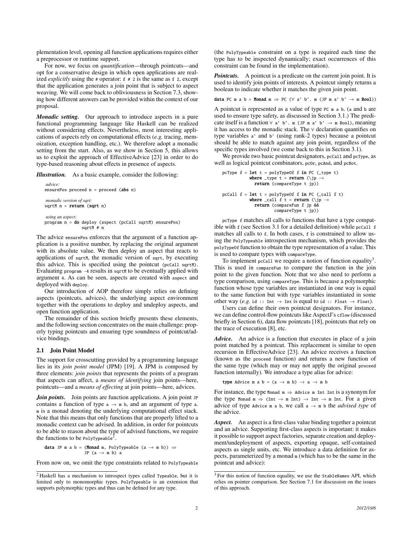plementation level, opening all function applications requires either a preprocessor or runtime support.

For now, we focus on *quantification*—through pointcuts—and opt for a conservative design in which open applications are realized *explicitly* using the  $\#$  operator:  $f \# 2$  is the same as  $f \# 2$ , except that the application generates a join point that is subject to aspect weaving. We will come back to obliviousness in Section 7.3, showing how different answers can be provided within the context of our proposal.

*Monadic setting.* Our approach to introduce aspects in a pure functional programming language like Haskell can be realized without considering effects. Nevertheless, most interesting applications of aspects rely on computational effects (*e.g.* tracing, memoization, exception handling, etc.). We therefore adopt a monadic setting from the start. Also, as we show in Section 5, this allows us to exploit the approach of EffectiveAdvice [23] in order to do type-based reasoning about effects in presence of aspects.

*Illustration.* As a basic example, consider the following:

```
advice:
ensurePos proceed n = proceed (abs n)
monadic version of sart:
sqrtM n = return (sqrt n)
using an aspect:
program n = do deploy (aspect (pcCall sqrtM) ensurePos)sqrtM # n
```
The advice ensurePos enforces that the argument of a function application is a positive number, by replacing the original argument with its absolute value. We then deploy an aspect that reacts to applications of sqrtM, the monadic version of sqrt, by executing this advice. This is specified using the pointcut (pcCall sqrtM). Evaluating program -4 results in sqrtM to be eventually applied with argument 4. As can be seen, aspects are created with aspect and deployed with deploy.

Our introduction of AOP therefore simply relies on defining aspects (pointcuts, advices), the underlying aspect environment together with the operations to deploy and undeploy aspects, and open function application.

The remainder of this section briefly presents these elements, and the following section concentrates on the main challenge: properly typing pointcuts and ensuring type soundness of pointcut/advice bindings.

#### 2.1 Join Point Model

The support for crosscutting provided by a programming language lies in its *join point model* (JPM) [19]. A JPM is composed by three elements: *join points* that represents the points of a program that aspects can affect, a *means of identifying* join points—here, pointcuts—and a *means of effecting* at join points—here, advices.

*Join points.* Join points are function applications. A join point JP contains a function of type  $a \rightarrow m b$ , and an argument of type a. m is a monad denoting the underlying computational effect stack. Note that this means that only functions that are properly lifted to a monadic context can be advised. In addition, in order for pointcuts to be able to reason about the type of advised functions, we require the functions to be PolyTypeable<sup>2</sup>.

$$
\text{data JP m a b} = (\text{Monad m, PolyTypeable } (a \rightarrow m b)) \Rightarrow
$$
  
JP (a \rightarrow m b) a

From now on, we omit the type constraints related to PolyTypeable

(the PolyTypeable constraint on a type is required each time the type has to be inspected dynamically; exact occurrences of this constraint can be found in the implementation).

*Pointcuts.* A pointcut is a predicate on the current join point. It is used to identify join points of interests. A pointcut simply returns a boolean to indicate whether it matches the given join point.

```
data PC m a b = Monad m \Rightarrow PC (\forall a' b'. m (JP m a' b' \rightarrow m Bool))
```
A pointcut is represented as a value of type PC m a b. (a and b are used to ensure type safety, as discussed in Section 3.1.) The predicate itself is a function  $\forall$  a' b'. m (JP m a' b'  $\rightarrow$  m Bool), meaning it has access to the monadic stack. The ∀ declaration quantifies on type variables a' and b' (using rank-2 types) because a pointcut should be able to match against any join point, regardless of the specific types involved (we come back to this in Section 3.1).

We provide two basic pointcut designators, pccall and pcType, as well as logical pointcut combinators, pcor, pcAnd, and pcNot.

```
pcType f = \text{let } t = \text{polyTypeOf } f \text{ in PC } (\text{type } t)where _type t = return (\iota)p -return (compareType t jp))
pcCall f = let t = polyTypeOf f in PC (call f t)where _call f t = return (\iota)p \rightarrowreturn (compareFun f jp &&
                         compareType t jp))
```
pcType f matches all calls to functions that have a type compatible with  $f$  (see Section 3.1 for a detailed definition) while pccall  $f$ matches all calls to f. In both cases, f is constrained to allow using the PolyTypeable introspection mechanism, which provides the polyTypeOf function to obtain the type representation of a value. This is used to compare types with compareType.

To implement pcCall we require a notion of function equality<sup>3</sup>. This is used in compareFun to compare the function in the join point to the given function. Note that we also need to perform a type comparison, using compareType. This is because a polymorphic function whose type variables are instantiated in one way is equal to the same function but with type variables instantiated in some other way (*e.g.* id :: Int  $\rightarrow$  Int is equal to id :: Float  $\rightarrow$  Float).

Users can define their own pointcut designators. For instance, we can define control-flow pointcuts like AspectJ's cflow (discussed briefly in Section 6), data flow pointcuts [18], pointcuts that rely on the trace of execution [8], etc.

*Advice.* An advice is a function that executes in place of a join point matched by a pointcut. This replacement is similar to open recursion in EffectiveAdvice [23]. An advice receives a function (known as the proceed function) and returns a new function of the same type (which may or may not apply the original proceed function internally). We introduce a type alias for advice:

type Advice m a  $b = (a \rightarrow m b) \rightarrow a \rightarrow m b$ 

For instance, the type Monad  $m \Rightarrow$  Advice m Int Int is a synonym for the type Monad  $m \Rightarrow (Int \rightarrow m Int) \rightarrow Int \rightarrow m Int$ . For a given advice of type Advice m a b, we call  $a \rightarrow m$  b the *advised type* of the advice.

*Aspect.* An aspect is a first-class value binding together a pointcut and an advice. Supporting first-class aspects is important: it makes it possible to support aspect factories, separate creation and deployment/undeployment of aspects, exporting opaque, self-contained aspects as single units, etc. We introduce a data definition for aspects, parameterized by a monad m (which has to be the same in the pointcut and advice):

<sup>2</sup> Haskell has a mechanism to introspect types called Typeable, but it is limited only to monomorphic types. PolyTypeable is an extension that supports polymorphic types and thus can be defined for any type.

<sup>3</sup> For this notion of function equality, we use the StableNames API, which relies on pointer comparison. See Section 7.1 for discussion on the issues of this approach.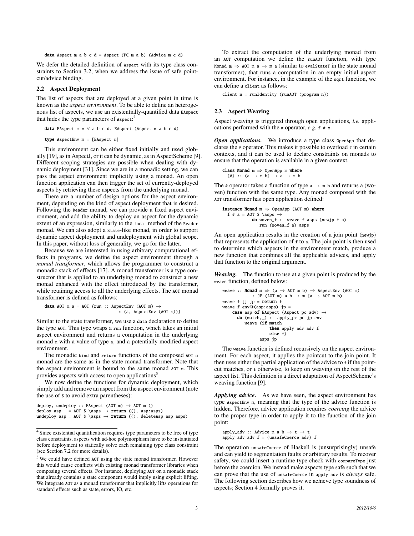data Aspect  $m a b c d =$  Aspect (PC  $m a b$ ) (Advice  $m c d$ )

We defer the detailed definition of Aspect with its type class constraints to Section 3.2, when we address the issue of safe pointcut/advice binding.

#### 2.2 Aspect Deployment

The list of aspects that are deployed at a given point in time is known as the *aspect environment*. To be able to define an heterogenous list of aspects, we use an existentially-quantified data EAspect that hides the type parameters of Aspect:<sup>4</sup>

```
data EAspect m = \forall a b c d. EAspect (Aspect m a b c d)
```
type AspectEnv m = [EAspect m]

This environment can be either fixed initially and used globally [19], as in AspectJ, or it can be dynamic, as in AspectScheme [9]. Different scoping strategies are possible when dealing with dynamic deployment [31]. Since we are in a monadic setting, we can pass the aspect environment implicitly using a monad. An open function application can then trigger the set of currently-deployed aspects by retrieving these aspects from the underlying monad.

There are a number of design options for the aspect environment, depending on the kind of aspect deployment that is desired. Following the Reader monad, we can provide a fixed aspect environment, and add the ability to deploy an aspect for the dynamic extent of an expression, similarly to the local method of the Reader monad. We can also adopt a State-like monad, in order to support dynamic aspect deployment and undeployment with global scope. In this paper, without loss of generality, we go for the latter.

Because we are interested in using arbitrary computational effects in programs, we define the aspect environment through a *monad transformer*, which allows the programmer to construct a monadic stack of effects [17]. A monad transformer is a type constructor that is applied to an underlying monad to construct a new monad enhanced with the effect introduced by the transformer, while retaining access to all the underlying effects. The AOT monad transformer is defined as follows:

data AOT m a = AOT {run :: AspectEnv (AOT m)  $\rightarrow$ m (a, AspectEnv (AOT m))}

Similar to the state transformer, we use a data declaration to define the type AOT. This type wraps a run function, which takes an initial aspect environment and returns a computation in the underlying monad m with a value of type a, and a potentially modified aspect environment.

The monadic bind and return functions of the composed AOT m monad are the same as in the state monad transformer. Note that the aspect environment is bound to the same monad AOT m. This provides aspects with access to open applications<sup>5</sup>.

We now define the functions for dynamic deployment, which simply add and remove an aspect from the aspect environment (note the use of \$ to avoid extra parentheses):

deploy, undeploy :: EAspect (AOT m)  $\rightarrow$  AOT m () deploy asp = AOT \$ \asps → **return** ((), asp:asps)<br>undeploy asp = AOT \$ \asps → **return** ((), deleteAsp asp asps)

To extract the computation of the underlying monad from an AOT computation we define the runAOT function, with type Monad  $m \Rightarrow A$ OT  $m a \rightarrow m a$  (similar to evalStateT in the state monad transformer), that runs a computation in an empty initial aspect environment. For instance, in the example of the sqrt function, we can define a client as follows:

client n = runIdentity (runAOT (program n))

#### 2.3 Aspect Weaving

Aspect weaving is triggered through open applications, *i.e.* applications performed with the # operator, *e.g.* f # x.

*Open applications.* We introduce a type class openApp that declares the # operator. This makes it possible to overload # in certain contexts, and it can be used to declare constraints on monads to ensure that the operation is available in a given context.

**class Monad** 
$$
m \Rightarrow
$$
 OpenApp  $m$  **where**  $(#)$  ::  $(a \rightarrow m b) \rightarrow a \rightarrow m b$ 

The # operator takes a function of type  $a \rightarrow m$  b and returns a (woven) function with the same type. Any monad composed with the AOT transformer has open application defined:

```
instance Monad m \Rightarrow OpenApp (AOT m) where
  f # a = AOT $ \asps \rightarrowdo woven_f \leftarrow weave f asps (newjp f a)
                 run (woven_f a) asps
```
An open application results in the creation of a join point (newjp) that represents the application of f to a. The join point is then used to determine which aspects in the environment match, produce a new function that combines all the applicable advices, and apply that function to the original argument.

*Weaving.* The function to use at a given point is produced by the weave function, defined below:

```
weave :: Monad m \Rightarrow (a \rightarrow AOT m b) \rightarrow AspectEnv (AOT m)
             \rightarrow JP (AOT m) a b \rightarrow m (a \rightarrow AOT m b)
weave f [] jp = return f
weave f env@(asp:asps) jp =
    case asp of EAspect (Aspect pc adv) \rightarrowdo (match,_) ← apply_pc pc jp env
          weave (if match
                       then apply_adv adv f
                       else f)
                  asps jp
```
The weave function is defined recursively on the aspect environment. For each aspect, it applies the pointcut to the join point. It then uses either the partial application of the advice to f if the pointcut matches, or f otherwise, to keep on weaving on the rest of the aspect list. This definition is a direct adaptation of AspectScheme's weaving function [9].

*Applying advice.* As we have seen, the aspect environment has type AspectEnv m, meaning that the type of the advice function is hidden. Therefore, advice application requires *coercing* the advice to the proper type in order to apply it to the function of the join point:

apply\_adv :: Advice m a b  $\rightarrow$  t  $\rightarrow$  t apply\_adv adv  $f =$  (unsafeCoerce adv)  $f$ 

The operation unsafeCoerce of Haskell is (unsurprisingly) unsafe and can yield to segmentation faults or arbitrary results. To recover safety, we could insert a runtime type check with compareType just before the coercion. We instead make aspects type safe such that we can prove that the use of unsafeCoerce in apply\_adv is *always* safe. The following section describes how we achieve type soundness of aspects; Section 4 formally proves it.

<sup>&</sup>lt;sup>4</sup> Since existential quantification requires type parameters to be free of type class constraints, aspects with ad-hoc polymorphism have to be instantiated before deployment to statically solve each remaining type class constraint (see Section 7.2 for more details).

<sup>5</sup> We could have defined AOT using the state monad transformer. However this would cause conflicts with existing monad transformer libraries when composing several effects. For instance, deploying AOT on a monadic stack that already contains a state component would imply using explicit lifting. We integrate AOT as a monad transformer that implicitly lifts operations for standard effects such as state, errors, IO, etc.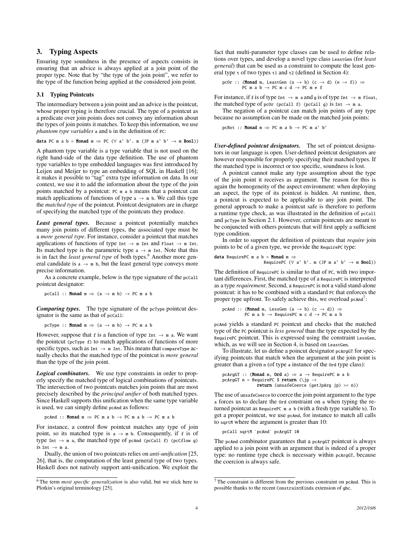# 3. Typing Aspects

Ensuring type soundness in the presence of aspects consists in ensuring that an advice is always applied at a join point of the proper type. Note that by "the type of the join point", we refer to the type of the function being applied at the considered join point.

#### 3.1 Typing Pointcuts

The intermediary between a join point and an advice is the pointcut, whose proper typing is therefore crucial. The type of a pointcut as a predicate over join points does not convey any information about the types of join points it matches. To keep this information, we use *phantom type variables* a and b in the definition of PC:

$$
\text{data } PC \text{ m a b = Monad m} \Rightarrow PC (\forall a' b'. m (JP m a' b' \rightarrow m Bool))
$$

A phantom type variable is a type variable that is not used on the right hand-side of the data type definition. The use of phantom type variables to type embedded languages was first introduced by Leijen and Meijer to type an embedding of SQL in Haskell [16]; it makes it possible to "tag" extra type information on data. In our context, we use it to add the information about the type of the join points matched by a pointcut: PC m a b means that a pointcut can match applications of functions of type  $a \rightarrow m b$ . We call this type the *matched type* of the pointcut. Pointcut designators are in charge of specifying the matched type of the pointcuts they produce.

*Least general types.* Because a pointcut potentially matches many join points of different types, the associated type must be a *more general type*. For instance, consider a pointcut that matches applications of functions of type Int  $\rightarrow$  m Int and Float  $\rightarrow$  m Int. Its matched type is the parametric type  $a \rightarrow m$  Int. Note that this is in fact the *least general type* of both types.<sup>6</sup> Another more general candidate is  $a \rightarrow m b$ , but the least general type conveys more precise information.

As a concrete example, below is the type signature of the pcCall pointcut designator:

pcCall :: Monad  $m \Rightarrow$  (a  $\rightarrow$  m b)  $\rightarrow$  PC m a b

*Comparing types.* The type signature of the pcType pointcut designator is the same as that of pcCall:

pcType :: Monad  $m \Rightarrow (a \rightarrow m b) \rightarrow PC m a b$ 

However, suppose that f is a function of type Int  $\rightarrow$  m a. We want the pointcut (pcType f) to match applications of functions of more specific types, such as  $Int \rightarrow m$  Int. This means that compareType actually checks that the matched type of the pointcut is *more general* than the type of the join point.

*Logical combinators.* We use type constraints in order to properly specify the matched type of logical combinations of pointcuts. The intersection of two pointcuts matches join points that are most precisely described by the *principal unifier* of both matched types. Since Haskell supports this unification when the same type variable is used, we can simply define pcAnd as follows:

pcAnd :: Monad  $m \Rightarrow PC$  m a b  $\rightarrow PC$  m a b  $\rightarrow PC$  m a b

For instance, a control flow pointcut matches any type of join point, so its matched type is  $a \rightarrow m$  b. Consequently, if f is of type Int  $\rightarrow$  m a, the matched type of pcAnd (pcCall f) (pcCflow g) is Int  $\rightarrow$  m a.

Dually, the union of two pointcuts relies on *anti-unification* [25, 26], that is, the computation of the least general type of two types. Haskell does not natively support anti-unification. We exploit the fact that multi-parameter type classes can be used to define relations over types, and develop a novel type class LeastGen (for *least general*) that can be used as a constraint to compute the least general type t of two types t1 and t2 (defined in Section 4):

$$
\text{pcOr} :: (\text{Monad } m, \text{ LeastGen } (a \rightarrow b) (c \rightarrow d) (e \rightarrow f)) \Rightarrow
$$
  

$$
\text{PC } m \text{ a } b \rightarrow \text{PC } m \text{ c } d \rightarrow \text{PC } m \text{ e } f
$$

For instance, if f is of type Int  $\rightarrow$  m a and g is of type Int  $\rightarrow$  m Float, the matched type of pcOr (pcCall f) (pcCall g) is Int  $\rightarrow$  m a.

The negation of a pointcut can match join points of any type because no assumption can be made on the matched join points:

pcNot :: Monad  $m \Rightarrow PC$  m a b  $\rightarrow PC$  m a' b'

*User-defined pointcut designators.* The set of pointcut designators in our language is open. User-defined pointcut designators are however responsible for properly specifying their matched types. If the matched type is incorrect or too specific, soundness is lost.

A pointcut cannot make any type assumption about the type of the join point it receives as argument. The reason for this is again the homogeneity of the aspect environment: when deploying an aspect, the type of its pointcut is hidden. At runtime, then, a pointcut is expected to be applicable to any join point. The general approach to make a pointcut safe is therefore to perform a runtime type check, as was illustrated in the definition of pcCall and pcType in Section 2.1. However, certain pointcuts are meant to be conjuncted with others pointcuts that will first apply a sufficient type condition.

In order to support the definition of pointcuts that *require* join points to be of a given type, we provide the RequirePC type:

$$
\begin{array}{lcl}\n\text{data RequiredPer} & \text{mean} & \text{in} \\
& \text{Required} & \text{mean} & \text{in} \\
& \text{Required} & \text{in} \\
\text{Required} & \text{in} \\
\text{mean} & \text{in} \\
\text{mean} & \text{in} \\
\text{mean} & \text{in} \\
\text{mean} & \text{in} \\
\text{mean} & \text{in} \\
\text{mean} & \text{in} \\
\text{mean} & \text{in} \\
\text{mean} & \text{in} \\
\text{mean} & \text{in} \\
\text{mean} & \text{in} \\
\text{mean} & \text{in} \\
\text{mean} & \text{in} \\
\text{mean} & \text{in} \\
\text{mean} & \text{in} \\
\text{mean} & \text{in} \\
\text{mean} & \text{in} \\
\text{mean} & \text{in} \\
\text{mean} & \text{in} \\
\text{mean} & \text{in} \\
\text{mean} & \text{in} \\
\text{mean} & \text{in} \\
\text{mean} & \text{in} \\
\text{mean} & \text{in} \\
\text{mean} & \text{in} \\
\text{mean} & \text{in} \\
\text{mean} & \text{in} \\
\text{mean} & \text{in} \\
\text{mean} & \text{in} \\
\text{mean} & \text{in} \\
\text{mean} & \text{in} \\
\text{mean} & \text{in} \\
\text{mean} & \text{in} \\
\text{mean} & \text{in} \\
\text{mean} & \text{in} \\
\text{mean} & \text{in} \\
\text{mean} & \text{in} \\
\text{mean} & \text{in} \\
\text{mean} & \text{in} \\
\text{mean} & \text{in} \\
\text{mean} & \text{in} \\
\text{mean} & \text{in} \\
\text{mean} & \text{in} \\
\text{mean} & \text{in} \\
\text{mean} & \text{in} \\
\text{mean} & \text{in} \\
\text{mean} & \text{in} \\
\text{mean} & \text{in} \\
\text{mean} & \text{in} \\
\
$$

The definition of RequirePC is similar to that of PC, with two important differences. First, the matched type of a RequirePC is interpreted as a type *requirement*. Second, a RequirePC is not a valid stand-alone pointcut: it has to be combined with a standard PC that enforces the proper type upfront. To safely achieve this, we overload  $pca<sub>nd</sub><sup>7</sup>$ :

$$
\text{pcAnd} :: (\text{Monad } m, \text{ LessGen } (a \rightarrow b) (c \rightarrow d)) \Rightarrow
$$
  

$$
\text{PC } m \text{ a } b \rightarrow \text{Required } m \text{ c } d \rightarrow \text{PC } m \text{ a } b
$$

pcAnd yields a standard PC pointcut and checks that the matched type of the PC pointcut is *less general* than the type expected by the RequirePC pointcut. This is expressed using the constraint LessGen, which, as we will see in Section 4, is based on LeastGen.

To illustrate, let us define a poincut designator pcArgGT for specifying pointcuts that match when the argument at the join point is greater than a given n (of type a instance of the Ord type class):

```
pcArgGT :: (Monad m, Ord a) \Rightarrow a \rightarrow RequirePC m a b
pcArgGT n = RequirePC $ return (\jp →
               return (unsafeCoerce (getJpArg jp) >= n))
```
The use of unsafeCoerce to coerce the join point argument to the type a forces us to declare the Ord constraint on a when typing the returned pointcut as RequirePC m a b (with a fresh type variable b). To get a proper pointcut, we use pcAnd, for instance to match all calls to sqrtM where the argument is greater than 10:

pcCall sqrtM `pcAnd` pcArgGT 10

The pcAnd combinator guarantees that a pcArgGT pointcut is always applied to a join point with an argument that is indeed of a proper type: no runtime type check is necessary within pcArgGT, because the coercion is always safe.

<sup>6</sup> The term *most specific generalization* is also valid, but we stick here to Plotkin's original terminology [25].

 $7$  The constraint is different from the previous constraint on pcAnd. This is possible thanks to the recent ConstraintKinds extension of ghc.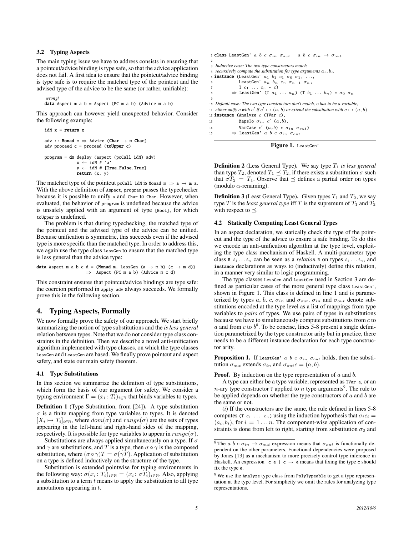#### 3.2 Typing Aspects

The main typing issue we have to address consists in ensuring that a pointcut/advice binding is type safe, so that the advice application does not fail. A first idea to ensure that the pointcut/advice binding is type safe is to require the matched type of the pointcut and the advised type of the advice to be the same (or rather, unifiable):

*wrong!* data Aspect  $m a b =$  Aspect (PC  $m a b$ ) (Advice  $m a b$ )

This approach can however yield unexpected behavior. Consider the following example:

```
idM x = return x
adv :: Monad m \Rightarrow Advice (Char \rightarrow m Char)
adv proceed c = proceed (toUpper c)
program = do deploy (aspect (pcCall idM) adv)
               x \leftarrow \text{idM } # 'a'y \leftarrow idM # [True, False, True]return (x, y)
```
The matched type of the pointcut pcCall idM is Monad  $m \Rightarrow a \rightarrow m$  a. With the above definition of Aspect, program passes the typechecker because it is possible to unify a and Char to Char. However, when evaluated, the behavior of program is undefined because the advice is unsafely applied with an argument of type [Bool], for which toUpper is undefined.

The problem is that during typechecking, the matched type of the pointcut and the advised type of the advice can be unified. Because unification is symmetric, this succeeds even if the advised type is more specific than the matched type. In order to address this, we again use the type class LessGen to ensure that the matched type is less general than the advice type:

$$
\begin{array}{rcl}\n\text{data Aspect m a b c d = (Monad m, LessGen (a \rightarrow m b) (c \rightarrow m d))} \\
\Rightarrow \text{Aspect (PC m a b) (Advance m c d)}\n\end{array}
$$

This constraint ensures that pointcut/advice bindings are type safe: the coercion performed in apply\_adv always succeeds. We formally prove this in the following section.

#### 4. Typing Aspects, Formally

We now formally prove the safety of our approach. We start briefly summarizing the notion of type substitutions and the *is less general* relation between types. Note that we do not consider type class constraints in the definition. Then we describe a novel anti-unification algorithm implemented with type classes, on which the type classes LessGen and LeastGen are based. We finally prove pointcut and aspect safety, and state our main safety theorem.

#### 4.1 Type Substitutions

In this section we summarize the definition of type substitutions, which form the basis of our argument for safety. We consider a typing environment  $\Gamma = (x_i : T_i)_{i \in \mathbb{N}}$  that binds variables to types.

Definition 1 (Type Substitution, from [24]). A type substitution  $\sigma$  is a finite mapping from type variables to types. It is denoted  $[X_i \mapsto T_i]_{i \in \mathbb{N}}$ , where  $dom(\sigma)$  and  $range(\sigma)$  are the sets of types appearing in the left-hand and right-hand sides of the mapping, respectively. It is possible for type variables to appear in  $range(\sigma)$ .

Substitutions are always applied simultaneously on a type. If  $\sigma$ and  $\gamma$  are substitutions, and T is a type, then  $\sigma \circ \gamma$  is the composed substitution, where  $(\sigma \circ \gamma)T = \sigma(\gamma T)$ . Application of substitution on a type is defined inductively on the structure of the type.

Substitution is extended pointwise for typing environments in the following way:  $\sigma(x_i : T_i)_{i \in \mathbb{N}} = (x_i : \sigma T_i)_{i \in \mathbb{N}}$ . Also, applying a substitution to a term  $t$  means to apply the substitution to all type annotations appearing in t.

1 **class** LeastGen' *a b c*  $\sigma_{in}$   $\sigma_{out}$  | *a b c*  $\sigma_{in}$   $\rightarrow$   $\sigma_{out}$ 2 3 *Inductive case: The two type constructors match, recursively compute the substitution for type arguments*  $a_i$ ,  $b_i$ . 5 **instance** (LeastGen'  $a_1$   $b_1$   $c_1$   $\sigma_0$   $\sigma_1$ , ..., 6 LeastGen'  $a_n$   $b_n$   $c_n$   $\sigma_{n-1}$   $\sigma_n$ ,  $T \ c_1 \ \ldots \ c_n \sim c$ )  $\Rightarrow$  LeastGen' (T  $a_1 \ldots a_n$ ) (T  $b_1 \ldots b_n$ ) c  $\sigma_0 \sigma_n$ 9 10 *Default case: The two type constructors don't match,* c *has to be a variable,* 11 *either unify* c with  $c'$  if  $c' \mapsto (a, b)$  or extend the substitution with  $c \mapsto (a, b)$ 12 **instance** (Analyze  $c$  (TVar  $c$ ), 13 MapsTo  $\sigma_{in}$  c'  $(a,b)$ ,

14 **VarCase**  $c'$   $(a,b)$   $c \space \sigma_{in} \space \sigma_{out}$ )

15  $\Rightarrow$  LeastGen' a b c  $\sigma_{in}$   $\sigma_{out}$ 



**Definition 2** (Less General Type). We say type  $T_1$  *is less general* than type  $T_2$ , denoted  $T_1 \preceq T_2$ , if there exists a substitution  $\sigma$  such that  $\sigma T_2 = T_1$ . Observe that  $\preceq$  defines a partial order on types (modulo  $\alpha$ -renaming).

**Definition 3** (Least General Type). Given types  $T_1$  and  $T_2$ , we say type T is the *least general type* iff T is the supremum of  $T_1$  and  $T_2$ with respect to  $\prec$ .

#### 4.2 Statically Computing Least General Types

In an aspect declaration, we statically check the type of the pointcut and the type of the advice to ensure a safe binding. To do this we encode an anti-unification algorithm at the type level, exploiting the type class mechanism of Haskell. A multi-parameter type class  $R$   $t_1 \ldots t_n$  can be seen as a *relation* R on types  $t_1 \ldots t_n$ , and instance declarations as ways to (inductively) define this relation, in a manner very similar to logic programming.

The type classes LessGen and LeastGen used in Section 3 are defined as particular cases of the more general type class LeastGen', shown in Figure 1. This class is defined in line 1 and is parameterized by types a, b, c,  $\sigma_{in}$  and  $\sigma_{out}$ .  $\sigma_{in}$  and  $\sigma_{out}$  denote substitutions encoded at the type level as a list of mappings from type variables to *pairs* of types. We use pairs of types in substitutions because we have to simultaneously compute substitutions from  $c$  to a and from c to  $b^8$ . To be concise, lines 5-8 present a single definition parametrized by the type constructor arity but in practice, there needs to be a different instance declaration for each type constructor arity.

**Proposition 1.** If LeastGen' a b c  $\sigma_{in}$   $\sigma_{out}$  holds, then the substitution  $\sigma_{out}$  extends  $\sigma_{in}$  and  $\sigma_{out}c = (a, b)$ .

**Proof.** By induction on the type representation of  $a$  and  $b$ .

A type can either be a type variable, represented as TVar a, or an *n*-ary type constructor  $\tau$  applied to  $n$  type arguments<sup>9</sup>. The rule to be applied depends on whether the type constructors of  $a$  and  $b$  are the same or not.

(*i*) If the constructors are the same, the rule defined in lines 5-8 computes (T  $c_1 \ldots c_n$ ) using the induction hypothesis that  $\sigma_i c_i =$  $(a_i, b_i)$ , for  $i = 1...n$ . The component-wise application of constraints is done from left to right, starting from substitution  $\sigma_0$  and

<sup>&</sup>lt;sup>8</sup> The a b c  $\sigma_{in} \rightarrow \sigma_{out}$  expression means that  $\sigma_{out}$  is functionally dependent on the other parameters. Functional dependencies were proposed by Jones [13] as a mechanism to more precisely control type inference in Haskell. An expression c e  $| c \rightarrow e$  means that fixing the type c should fix the type e.

<sup>&</sup>lt;sup>9</sup> We use the Analyze type class from PolyTypeable to get a type representation at the type level. For simplicity we omit the rules for analyzing type representations.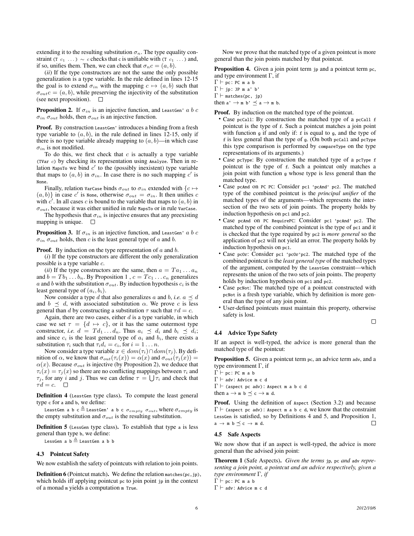extending it to the resulting substitution  $\sigma_n$ . The type equality constraint (T  $c_1$  ...) ∼ c checks that c is unifiable with (T  $c_1$  ...) and, if so, unifies them. Then, we can check that  $\sigma_n c = (a, b)$ .

(*ii*) If the type constructors are not the same the only possible generalization is a type variable. In the rule defined in lines 12-15 the goal is to extend  $\sigma_{in}$  with the mapping  $c \mapsto (a, b)$  such that  $\sigma_{out}c = (a, b)$ , while preserving the injectivity of the substitution (see next proposition).  $\Box$ 

**Proposition 2.** If  $\sigma_{in}$  is an injective function, and LeastGen' a b c  $\sigma_{in}$   $\sigma_{out}$  holds, then  $\sigma_{out}$  is an injective function.

Proof. By construction LeastGen' introduces a binding from a fresh type variable to  $(a, b)$ , in the rule defined in lines 12-15, only if there is no type variable already mapping to  $(a, b)$ —in which case  $\sigma_{in}$  is not modified.

To do this, we first check that  $c$  is actually a type variable (TVar c) by checking its representation using Analyze. Then in relation MapsTo we bind  $c'$  to the (possibly inexistent) type variable that maps to  $(a, b)$  in  $\sigma_{in}$ . In case there is no such mapping c' is None.

Finally, relation varcase binds  $\sigma_{out}$  to  $\sigma_{in}$  extended with  $\{c \mapsto$  $(a, b)$  in case c' is None, otherwise  $\sigma_{out} = \sigma_{in}$ . It then unifies c with  $c'$ . In all cases c is bound to the variable that maps to  $(a, b)$  in  $σ<sub>out</sub>$ , because it was either unified in rule MapsTo or in rule VarCase.

The hypothesis that  $\sigma_{in}$  is injective ensures that any preexisting mapping is unique.  $\square$ 

**Proposition 3.** If  $\sigma_{in}$  is an injective function, and LeastGen' a b c  $\sigma_{in}$   $\sigma_{out}$  holds, then c is the least general type of a and b.

**Proof.** By induction on the type representation of  $a$  and  $b$ .

(*i*) If the type constructors are different the only generalization possible is a type variable c.

(*ii*) If the type constructors are the same, then  $a = Ta_1 \dots a_n$ and  $b = Tb_1 \dots b_n$ . By Proposition 1,  $c = Tc_1 \dots c_n$  generalizes a and b with the substitution  $\sigma_{out}$ . By induction hypothesis  $c_i$  is the least general type of  $(a_i, b_i)$ .

Now consider a type d that also generalizes a and b, *i.e.*  $a \leq d$ and  $b \preceq d$ , with associated substitution  $\alpha$ . We prove c is less general than d by constructing a substitution  $\tau$  such that  $\tau d = c$ .

Again, there are two cases, either  $d$  is a type variable, in which case we set  $\tau = \{d \mapsto c\}$ , or it has the same outermost type constructor, *i.e.*  $d = T d_1 \dots d_n$ . Thus  $a_i \preceq d_i$  and  $b_i \preceq d_i$ ; and since  $c_i$  is the least general type of  $a_i$  and  $b_i$ , there exists a substitution  $\tau_i$  such that  $\tau_i d_i = c_i$ , for  $i = 1 \dots n$ .

Now consider a type variable  $x \in dom(\tau_i) \cap dom(\tau_j)$ . By definition of  $\alpha$ , we know that  $\sigma_{out}(\tau_i(x)) = \alpha(x)$  and  $\sigma_{out}(\tau_i(x)) =$  $\alpha(x)$ . Because  $\sigma_{out}$  is injective (by Proposition 2), we deduce that  $\tau_i(x) = \tau_i(x)$  so there are no conflicting mappings between  $\tau_i$  and  $\tau_j$ , for any i and j. Thus we can define  $\tau = \bigcup \tau_i$  and check that  $\tau d = c. \quad \Box$ 

Definition 4 (LeastGen type class). To compute the least general type c for a and b, we define:

LeastGen a b c  $\triangleq$  LeastGen' a b c  $\sigma_{empty}$   $\sigma_{out}$ , where  $\sigma_{empty}$  is the empty substitution and  $\sigma_{out}$  is the resulting substitution.

Definition 5 (LessGen type class). To establish that type a is less general than type b, we define:

LessGen a  $b \triangleq$  LeastGen a b b

# 4.3 Pointcut Safety

We now establish the safety of pointcuts with relation to join points.

**Definition 6** (Pointcut match). We define the relation matches (pc, jp), which holds iff applying pointcut pc to join point jp in the context of a monad m yields a computation m True.

Now we prove that the matched type of a given pointcut is more general than the join points matched by that pointcut.

Proposition 4. Given a join point term jp and a pointcut term pc, and type environment  $\Gamma$ , if

 $\Gamma \vdash$  pc: PC m a b  $\Gamma \vdash$  jp: JP m a' b'

 $\Gamma \vdash$  matches(pc, jp)

then  $a' \rightarrow m b' \preceq a \rightarrow m b$ .

**Proof.** By induction on the matched type of the pointcut.

- Case pcCall: By construction the matched type of a pcCall f pointcut is the type of f. Such a pointcut matches a join point with function g if and only if: f is equal to g, and the type of f is less general than the type of g. (On both pcCall and pcType this type comparison is performed by compareType on the type representations of its arguments.)
- Case pcType: By construction the matched type of a pcType f pointcut is the type of f. Such a pointcut only matches a join point with function g whose type is less general than the matched type.
- Case pcAnd on PC PC: Consider pc1 'pcAnd' pc2. The matched type of the combined pointcut is the *principal unifier* of the matched types of the arguments—which represents the intersection of the two sets of join points. The property holds by induction hypothesis on pc1 and pc2.
- Case pcAnd on PC RequirePC: Consider pc1 'pcAnd' pc2. The matched type of the combined pointcut is the type of pc1 and it is checked that the type required by pc2 is *more general* so the application of pc2 will not yield an error. The property holds by induction hypothesis on pc1.
- Case pcOr: Consider pc1 'pcOr'pc2. The matched type of the combined pointcut is the *least general type* of the matched types of the argument, computed by the LeastGen constraint—which represents the union of the two sets of join points. The property holds by induction hypothesis on pc1 and pc2.
- Case pcNot: The matched type of a pointcut constructed with pcNot is a fresh type variable, which by definition is more general than the type of any join point.
- User-defined pointcuts must maintain this property, otherwise safety is lost.

### 4.4 Advice Type Safety

If an aspect is well-typed, the advice is more general than the matched type of the pointcut:

Proposition 5. Given a pointcut term pc, an advice term adv, and a type environment  $Γ$ , if

 $\Gamma \vdash p$ c: PC m a b  $\Gamma \vdash$  adv: Advice m c d  $\Gamma \vdash$  (aspect pc adv): Aspect m a b c d then  $a \rightarrow m b \prec c \rightarrow m d$ .

**Proof.** Using the definition of Aspect (Section 3.2) and because  $\Gamma \vdash$  (aspect pc adv): Aspect m a b c d, we know that the constraint LessGen is satisfied, so by Definitions 4 and 5, and Proposition 1,  $a \rightarrow m b \preceq c \rightarrow m d$ .  $\Box$ 

## 4.5 Safe Aspects

We now show that if an aspect is well-typed, the advice is more general than the advised join point:

Theorem 1 (Safe Aspects). *Given the terms* jp*,* pc *and* adv *representing a join point, a pointcut and an advice respectively, given a type environment* Γ*, if*

 $\Gamma \vdash$  pc: PC m a b

 $\Gamma \vdash$  adv: Advice m c d

 $\Box$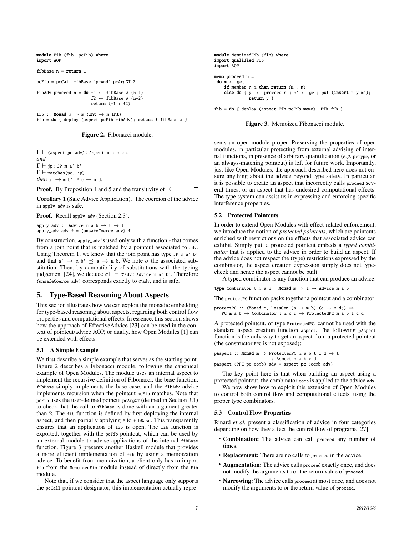```
module Fib (fib, pcFib) where
import AOP
fibBase n = return 1
pcFib = pcCall fibBase `pcAnd` pcArgGT 2
fibAdv proceed n = do f1 \leftarrow fibBase # (n-1)f2 \leftarrow fibBase # (n-2)
                         return (f1 + f2)fib :: Monad m \Rightarrow m (Int \rightarrow m Int)
fib = do { deploy (aspect pcFib fibAdv); return $ fibBase # }
```
Figure 2. Fibonacci module.

 $\Gamma \vdash$  (aspect pc adv): Aspect m a b c d *and*  $\Gamma \vdash$  jp: JP m a' b'  $\Gamma \vdash$  matches(pc, jp) *then*  $a' \rightarrow m b' \preceq c \rightarrow m d$ .

**Proof.** By Proposition 4 and 5 and the transitivity of  $\preceq$ .  $\Box$ 

Corollary 1 (Safe Advice Application). The coercion of the advice in apply\_adv is safe.

Proof. Recall apply\_adv (Section 2.3):

apply\_adv :: Advice m a b  $\rightarrow$  t  $\rightarrow$  t apply\_adv adv  $f =$  (unsafeCoerce adv)  $f$ 

By construction, apply\_adv is used only with a function f that comes from a join point that is matched by a pointcut associated to adv. Using Theorem 1, we know that the join point has type JP m a' b' and that  $a' \rightarrow m b' \preceq a \rightarrow m b$ . We note  $\sigma$  the associated substitution. Then, by compatibility of substitutions with the typing judgement [24], we deduce  $σΓ ⊢ σ$ adv: Advice m a' b'. Therefore (unsafeCoerce adv) corresponds exactly to  $σ$ adv, and is safe.  $□$ (unsafeCoerce adv) corresponds exactly to  $\sigma$ adv, and is safe.

# 5. Type-Based Reasoning About Aspects

This section illustrates how we can exploit the monadic embedding for type-based reasoning about aspects, regarding both control flow properties and computational effects. In essence, this section shows how the approach of EffectiveAdvice [23] can be used in the context of pointcut/advice AOP, or dually, how Open Modules [1] can be extended with effects.

#### 5.1 A Simple Example

We first describe a simple example that serves as the starting point. Figure 2 describes a Fibonacci module, following the canonical example of Open Modules. The module uses an internal aspect to implement the recursive definition of Fibonacci: the base function, fibBase simply implements the base case, and the fibAdv advice implements recursion when the pointcut pcFib matches. Note that pcFib uses the user-defined poincut pcArgGT (defined in Section 3.1) to check that the call to fibBase is done with an argument greater than 2. The fib function is defined by first deploying the internal aspect, and then partially applying # to fibBase. This transparently ensures that an application of fib is open. The fib function is exported, together with the pcFib pointcut, which can be used by an external module to advise applications of the internal fibBase function. Figure 3 presents another Haskell module that provides a more efficient implementation of fib by using a memoization advice. To benefit from memoization, a client only has to import fib from the MemoizedFib module instead of directly from the Fib module.

Note that, if we consider that the aspect language only supports the pcCall pointcut designator, this implementation actually repre-

```
module MemoizedFib (fib) where
import qualified Fib
import AOP
memo proceed n =
 do m \leftarrow get
    if member n m then return (m ! n)
    else do { y \leftarrow proceed n ; m' \leftarrow get; put (insert n y m');
               return y }
fib = do { deploy (aspect Fib.pcFib memo); Fib.fib }
```
Figure 3. Memoized Fibonacci module.

sents an open module proper. Preserving the properties of open modules, in particular protecting from external advising of internal functions, in presence of arbitrary quantification (*e.g.* pcType, or an always-matching pointcut) is left for future work. Importantly, just like Open Modules, the approach described here does not ensure anything about the advice beyond type safety. In particular, it is possible to create an aspect that incorrectly calls proceed several times, or an aspect that has undesired computational effects. The type system can assist us in expressing and enforcing specific interference properties.

#### 5.2 Protected Pointcuts

In order to extend Open Modules with effect-related enforcement, we introduce the notion of *protected pointcuts*, which are pointcuts enriched with restrictions on the effects that associated advice can exhibit. Simply put, a protected pointcut embeds a *typed combinator* that is applied to the advice in order to build an aspect. If the advice does not respect the (type) restrictions expressed by the combinator, the aspect creation expression simply does not typecheck and hence the aspect cannot be built.

A typed combinator is any function that can produce an advice:

type Combinator t m a b = Monad m  $\Rightarrow$  t  $\rightarrow$  Advice m a b

The protectPC function packs together a pointcut and a combinator:

```
protectPC :: (Monad m, LessGen (a \rightarrow m b) (c \rightarrow m d)) \RightarrowPC m a b \rightarrow Combinator t m c d \rightarrow ProtectedPC m a b t c d
```
A protected pointcut, of type ProtectedPC, cannot be used with the standard aspect creation function aspect. The following pAspect function is the only way to get an aspect from a protected pointcut (the constructor PPC is not exposed):

```
pAspect :: Monad m \Rightarrow ProtectedPC m a b t c d \rightarrow t
                          → Aspect m a b c d
pAspect (PPC pc comb) adv = aspect pc (comb adv)
```
The key point here is that when building an aspect using a protected pointcut, the combinator comb is applied to the advice adv.

We now show how to exploit this extension of Open Modules to control both control flow and computational effects, using the proper type combinators.

#### 5.3 Control Flow Properties

Rinard *et al.* present a classification of advice in four categories depending on how they affect the control flow of programs [27]:

- Combination: The advice can call proceed any number of times.
- Replacement: There are no calls to proceed in the advice.
- Augmentation: The advice calls proceed exactly once, and does not modify the arguments to or the return value of proceed.
- Narrowing: The advice calls proceed at most once, and does not modify the arguments to or the return value of proceed.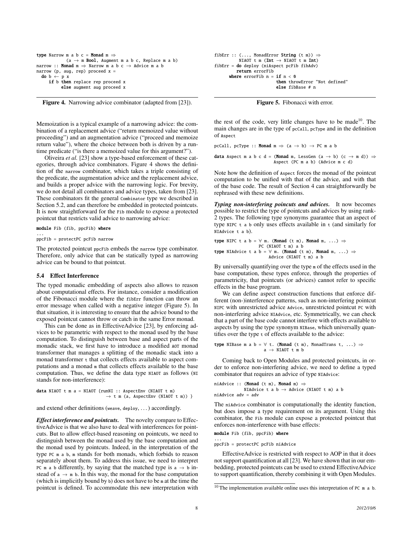```
type Narrow m a b c = Monad m \Rightarrow(a \rightarrow m Bool, Augment m a b c, Replace m a b)
narrow :: Monad m \Rightarrow Narrow m a b c \rightarrow Advice m a b
narrow (p, aug, rep) proceed x =do b \leftarrow p xif b then replace rep proceed x
           else augment aug proceed x
```
Figure 4. Narrowing advice combinator (adapted from [23]).

Memoization is a typical example of a narrowing advice: the combination of a replacement advice ("return memoized value without proceeding") and an augmentation advice ("proceed and memoize return value"), where the choice between both is driven by a runtime predicate ("is there a memoized value for this argument?").

Oliveira *et al.* [23] show a type-based enforcement of these categories, through advice combinators. Figure 4 shows the definition of the narrow combinator, which takes a triple consisting of the predicate, the augmentation advice and the replacement advice, and builds a proper advice with the narrowing logic. For brevity, we do not detail all combinators and advice types, taken from [23]. These combinators fit the general Combinator type we described in Section 5.2, and can therefore be embedded in protected pointcuts. It is now straightforward for the Fib module to expose a protected pointcut that restricts valid advice to narrowing advice:

module Fib (fib, ppcFib) where

...

ppcFib = protectPC pcFib narrow

The protected pointcut ppcFib embeds the narrow type combinator. Therefore, only advice that can be statically typed as narrowing advice can be bound to that pointcut.

#### 5.4 Effect Interference

The typed monadic embedding of aspects also allows to reason about computational effects. For instance, consider a modification of the Fibonacci module where the fibErr function can throw an error message when called with a negative integer (Figure 5). In that situation, it is interesting to ensure that the advice bound to the exposed pointcut cannot throw or catch in the same Error monad.

This can be done as in EffectiveAdvice [23], by enforcing advices to be parametric with respect to the monad used by the base computation. To distinguish between base and aspect parts of the monadic stack, we first have to introduce a modified AOT monad transformer that manages a splitting of the monadic stack into a monad transformer t that collects effects available to aspect computations and a monad m that collects effects available to the base computation. Thus, we define the data type NIAOT as follows (NI stands for non-interference):

data NIAOT t m a = NIAOT {runNI :: AspectEnv (NIAOT t m)  $\rightarrow$  t m (a, AspectEnv (NIAOT t m)) }

and extend other definitions (weave, deploy, . . . ) accordingly.

*Effect interference and pointcuts.* The novelty compare to EffectiveAdvice is that we also have to deal with interferences for pointcuts. But to allow effect-based reasoning on pointcuts, we need to distinguish between the monad used by the base computation and the monad used by pointcuts. Indeed, in the interpretation of the type PC m a b, m stands for both monads, which forbids to reason separately about them. To address this issue, we need to interpret PC m a b differently, by saying that the matched type is  $a \rightarrow b$  instead of  $a \rightarrow m$  b. In this way, the monad for the base computation (which is implicitly bound by b) does not have to be m at the time the pointcut is defined. To accommodate this new interpretation with

```
fibErr :: (..., MonadError String (t m)) \RightarrowNIAOT t m (Int \rightarrow NIAOT t m Int)
fibErr = do deploy (niAspect pcFib fibAdv)
         return errorFib
      where errorFib n = if n < 0then throwError "Not defined"
                           else fibBase # n
```
Figure 5. Fibonacci with error.

the rest of the code, very little changes have to be made<sup>10</sup>. The main changes are in the type of pcCall, pcType and in the definition of Aspect

pcCall, pcType :: Monad  $m \Rightarrow (a \rightarrow b) \rightarrow PC m a b$ 

data Aspect m a b c d = (Monad m, LessGen (a  $\rightarrow$  b) (c  $\rightarrow$  m d))  $\Rightarrow$ Aspect (PC m a b) (Advice m c d)

Note how the definition of Aspect forces the monad of the pointcut computation to be unified with that of the advice, and with that of the base code. The result of Section 4 can straightforwardly be rephrased with these new definitions.

*Typing non-interfering poincuts and advices.* It now becomes possible to restrict the type of pointcuts and advices by using rank-2 types. The following type synonyms guarantee that an aspect of type NIPC  $t a b$  only uses effects available in  $t$  (and similarly for NIAdvice t a b).

```
type NIPC t a b = \forall m. (Monad (t m), Monad m, ...) \RightarrowPC (NIAOT t m) a b
type NIAdvice t a b = \forall m. (Monad (t m), Monad m, ...) \RightarrowAdvice (NIAOT t m) a b
```
By universally quantifying over the type m of the effects used in the base computation, these types enforce, through the properties of parametricity, that pointcuts (or advices) cannot refer to specific effects in the base program.

We can define aspect construction functions that enforce different (non-)interference patterns, such as non-interfering pointcut NIPC with unrestricted advice Advice, unrestricted pointcut PC with non-interfering advice NIAdvice, etc. Symmetrically, we can check that a part of the base code cannot interfere with effects available to aspects by using the type synonym NIBase, which universally quantifies over the type t of effects available to the advice:

```
type NIBase m a b = \forall t. (Monad (t m), MonadTrans t, ...) \Rightarrowa \rightarrow NIAOT t m b
```
Coming back to Open Modules and protected pointcuts, in order to enforce non-interfering advice, we need to define a typed combinator that requires an advice of type NIAdvice:

```
niAdvice :: (Monad (t m), Monad m) \RightarrowNIAdvice t a b \rightarrow Advice (NIAOT t m) a bniAdvice adv = adv
```
The niAdvice combinator is computationally the identity function, but does impose a type requirement on its argument. Using this combinator, the Fib module can expose a protected pointcut that enforces non-interference with base effects:

module Fib (fib, ppcFib) where ...

ppcFib = protectPC pcFib niAdvice

EffectiveAdvice is restricted with respect to AOP in that it does not support quantification at all [23]. We have shown that in our embedding, protected pointcuts can be used to extend EffectiveAdvice to support quantification, thereby combining it with Open Modules.

 $10$  The implementation available online uses this interpretation of PC m a b.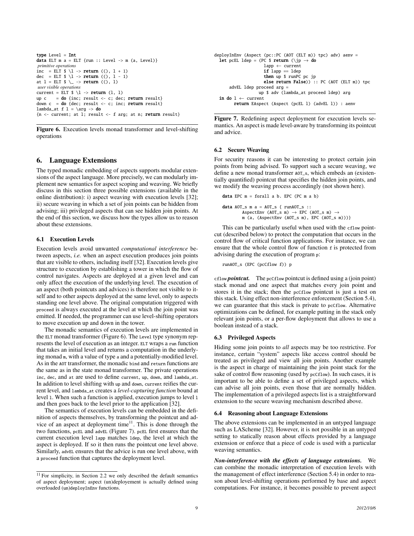```
type Level = Int
data ELT m a = ELT {run :: Level \rightarrow m (a, Level)}
primitive operations
inc = ELT \ell \backslash 1 \rightarrow return ((), 1 + 1)
dec = ELT \angle 1 -> return ((), 1 - 1)
at l = ELT $ \_ -> return ((), 1)
user visible operations
current = ELT \cup -> return (1, 1)
up c = do {inc; result <- c; dec; return result}
down c = do {dec; result <- c; inc; return result}
lambda_at f l = \arg -> do
{n \leftarrow current; at 1; result \leftarrow f arg; at n; return result}
```
Figure 6. Execution levels monad transformer and level-shifting operations

### 6. Language Extensions

The typed monadic embedding of aspects supports modular extensions of the aspect language. More precisely, we can modularly implement new semantics for aspect scoping and weaving. We briefly discuss in this section three possible extensions (available in the online distribution): i) aspect weaving with execution levels [32]; ii) secure weaving in which a set of join points can be hidden from advising; iii) privileged aspects that can see hidden join points. At the end of this section, we discuss how the types allow us to reason about these extensions.

#### 6.1 Execution Levels

Execution levels avoid unwanted *computational interference* between aspects, *i.e.* when an aspect execution produces join points that are visible to others, including itself [32]. Execution levels give structure to execution by establishing a tower in which the flow of control navigates. Aspects are deployed at a given level and can only affect the execution of the underlying level. The execution of an aspect (both pointcuts and advices) is therefore not visible to itself and to other aspects deployed at the same level, only to aspects standing one level above. The original computation triggered with proceed is always executed at the level at which the join point was emitted. If needed, the programmer can use level-shifting operators to move execution up and down in the tower.

The monadic semantics of execution levels are implemented in the ELT monad transformer (Figure 6). The Level type synonym represents the level of execution as an integer. ELT wraps a run function that takes an initial level and returns a computation in the underlying monad m, with a value of type a and a potentially-modified level. As in the AOT transformer, the monadic bind and return functions are the same as in the state monad transformer. The private operations inc, dec, and at are used to define current, up, down, and lambda\_at. In addition to level shifting with up and down, current reifies the current level, and lambda\_at creates a *level-capturing function* bound at level l. When such a function is applied, execution jumps to level l and then goes back to the level prior to the application [32].

The semantics of execution levels can be embedded in the definition of aspects themselves, by transforming the pointcut and advice of an aspect at deployment time $11$ . This is done through the two functions, pcEL and advEL (Figure 7). pcEL first ensures that the current execution level lapp matches ldep, the level at which the aspect is deployed. If so it then runs the pointcut one level above. Similarly, advEL ensures that the advice is run one level above, with a proceed function that captures the deployment level.

```
deployInEnv (Aspect (pc::PC (AOT (ELT m)) tpc) adv) aenv =
  let pcEL ldep = (PC $ return (\pi p \rightarrow d\sigma)lapp ← current
                     if lapp == ldep
                     then up $ runPC pc jp
                     else return False)) :: PC (AOT (ELT m)) tpc
      advEL ldep proceed arg =
                   up $ adv (lambda_at proceed ldep) arg
  in do 1 \leftarrow current
        return EAspect (Aspect (pcEL l) (advEL l)) : aenv
```
Figure 7. Redefining aspect deployment for execution levels semantics. An aspect is made level-aware by transforming its pointcut and advice.

#### 6.2 Secure Weaving

For security reasons it can be interesting to protect certain join points from being advised. To support such a secure weaving, we define a new monad transformer AOT\_s, which embeds an (existentially quantified) pointcut that specifies the hidden join points, and we modify the weaving process accordingly (not shown here).

```
data EPC m = forall a b. EPC (PC m a b)
data AOT_S m a = AOT_S { runAOT_S ::
        AspectEnv (AOT_s m) \rightarrow EPC (AOT_s m) \rightarrowm (a, (AspectEnv (AOT_s m), EPC (AOT_s m)))}
```
This can be particularly useful when used with the cflow pointcut (described below) to protect the computation that occurs in the control flow of critical function applications. For instance, we can ensure that the whole control flow of function f is protected from advising during the execution of program p:

runAOT\_s (EPC (pcCflow f)) p

cflow *pointcut.* The pcCflow pointcut is defined using a (join point) stack monad and one aspect that matches every join point and stores it in the stack; then the pcCflow pointcut is just a test on this stack. Using effect non-interference enforcement (Section 5.4), we can guarantee that this stack is private to pcCflow. Alternative optimizations can be defined, for example putting in the stack only relevant join points, or a per-flow deployment that allows to use a boolean instead of a stack.

#### 6.3 Privileged Aspects

Hiding some join points to *all* aspects may be too restrictive. For instance, certain "system" aspects like access control should be treated as privileged and view all join points. Another example is the aspect in charge of maintaining the join point stack for the sake of control flow reasoning (used by pccflow). In such cases, it is important to be able to define a set of privileged aspects, which can advise all join points, even those that are normally hidden. The implementation of a privileged aspects list is a straightforward extension to the secure weaving mechanism described above.

#### 6.4 Reasoning about Language Extensions

The above extensions can be implemented in an untyped language such as LAScheme [32]. However, it is not possible in an untyped setting to statically reason about effects provided by a language extension or enforce that a piece of code is used with a particular weaving semantics.

*Non-interference with the effects of language extensions.* We can combine the monadic interpretation of execution levels with the management of effect interference (Section 5.4) in order to reason about level-shifting operations performed by base and aspect computations. For instance, it becomes possible to prevent aspect

 $11$  For simplicity, in Section 2.2 we only described the default semantics of aspect deployment; aspect (un)deployement is actually defined using overloaded (un)deployInEnv functions.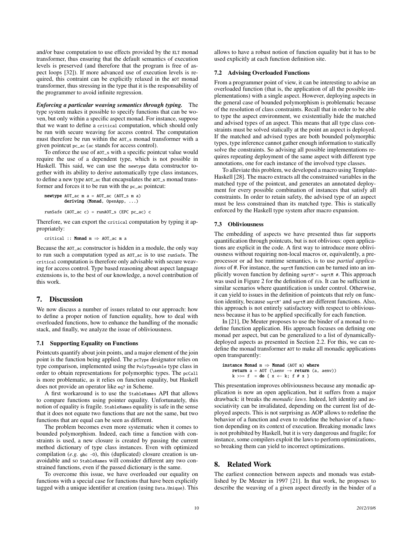and/or base computation to use effects provided by the ELT monad transformer, thus ensuring that the default semantics of execution levels is preserved (and therefore that the program is free of aspect loops [32]). If more advanced use of execution levels is required, this contraint can be explicitly relaxed in the AOT monad transformer, thus stressing in the type that it is the responsability of the programmer to avoid infinite regression.

*Enforcing a particular weaving semantics through typing.* The type system makes it possible to specify functions that can be woven, but only within a specific aspect monad. For instance, suppose that we want to define a critical computation, which should only be run with secure weaving for access control. The computation must therefore be run within the AOT\_s monad transformer with a given pointcut pc\_ac (ac stands for access control).

To enforce the use of AOT\_s with a specific pointcut value would require the use of a dependent type, which is not possible in Haskell. This said, we can use the newtype data constructor together with its ability to derive automatically type class instances, to define a new type AOT\_ac that encapsulates the AOT\_s monad transformer and forces it to be run with the pc\_ac pointcut:

```
newtype AOT_ac m a = AOT_ac (AOT_s m a)
        deriving (Monad, OpenApp, ...)
```
runSafe (AOT\_ac c) = runAOT\_s (EPC pc\_ac) c

Therefore, we can export the critical computation by typing it appropriately:

critical :: Monad m ⇒ AOT\_ac m a

Because the AOT\_ac constructor is hidden in a module, the only way to run such a computation typed as AOT\_ac is to use runSafe. The critical computation is therefore only advisable with secure weaving for access control. Type based reasoning about aspect language extensions is, to the best of our knowledge, a novel contribution of this work.

#### 7. Discussion

We now discuss a number of issues related to our approach: how to define a proper notion of function equality, how to deal with overloaded functions, how to enhance the handling of the monadic stack, and finally, we analyze the issue of obliviousness.

#### 7.1 Supporting Equality on Functions

Pointcuts quantify about join points, and a major element of the join point is the function being applied. The pcType designator relies on type comparison, implemented using the PolyTypeable type class in order to obtain representations for polymorphic types. The pcCall is more problematic, as it relies on function equality, but Haskell does not provide an operator like eq? in Scheme.

A first workaround is to use the StableNames API that allows to compare functions using pointer equality. Unfortunately, this notion of equality is fragile. StableNames equality is safe in the sense that it does not equate two functions that are not the same, but two functions that are equal can be seen as different.

The problem becomes even more systematic when it comes to bounded polymorphism. Indeed, each time a function with constraints is used, a new closure is created by passing the current method dictionary of type class instances. Even with optimized compilation (*e.g.* ghc -0), this (duplicated) closure creation is unavoidable and so StableNames will consider different any two constrained functions, even if the passed dictionary is the same.

To overcome this issue, we have overloaded our equality on functions with a special case for functions that have been explicitly tagged with a unique identifier at creation (using Data.Unique). This allows to have a robust notion of function equality but it has to be used explicitly at each function definition site.

#### 7.2 Advising Overloaded Functions

From a programmer point of view, it can be interesting to advise an overloaded function (that is, the application of all the possible implementations) with a single aspect. However, deploying aspects in the general case of bounded polymorphism is problematic because of the resolution of class constraints. Recall that in order to be able to type the aspect environment, we existentially hide the matched and advised types of an aspect. This means that all type class constraints must be solved statically at the point an aspect is deployed. If the matched and advised types are both bounded polymorphic types, type inference cannot gather enough information to statically solve the constraints. So advising all possible implementations requires repeating deployment of the same aspect with different type annotations, one for each instance of the involved type classes.

To alleviate this problem, we developed a macro using Template-Haskell [28]. The macro extracts all the constrained variables in the matched type of the pointcut, and generates an annotated deployment for every possible combination of instances that satisfy all constraints. In order to retain safety, the advised type of an aspect must be less constrained than its matched type. This is statically enforced by the Haskell type system after macro expansion.

#### 7.3 Obliviousness

The embedding of aspects we have presented thus far supports quantification through pointcuts, but is not oblivious: open applications are explicit in the code. A first way to introduce more obliviousness without requiring non-local macros or, equivalently, a preprocessor or ad hoc runtime semantics, is to use *partial applications* of #. For instance, the sqrtM function can be turned into an implicitly woven function by defining sqrtM'= sqrtM #. This approach was used in Figure 2 for the definition of fib. It can be sufficient in similar scenarios where quantification is under control. Otherwise, it can yield to issues in the definition of pointcuts that rely on function identity, because sqrtM' and sqrtM are different functions. Also, this approach is not entirely satisfactory with respect to obliviousness because it has to be applied specifically for each function.

In [21], De Meuter proposes to use the binder of a monad to redefine function application. His approach focuses on defining one monad per aspect, but can be generalized to a list of dynamicallydeployed aspects as presented in Section 2.2. For this, we can redefine the monad transformer AOT to make all monadic applications open transparently:

```
instance Monad m ⇒ Monad (AOT m) where<br>return a = AOT (\aenv → return (a, aenv))<br>k >>= f = do { x ← k; f # x }
```
This presentation improves obliviousness because any monadic application is now an open application, but it suffers from a major drawback: it breaks the *monadic laws*. Indeed, left identity and associativity can be invalidated, depending on the current list of deployed aspects. This is not surprising as AOP allows to redefine the behavior of a function and even to redefine the behavior of a function depending on its context of execution. Breaking monadic laws is not prohibited by Haskell, but it is very dangerous and fragile; for instance, some compilers exploit the laws to perform optimizations, so breaking them can yield to incorrect optimizations.

# 8. Related Work

The earliest connection between aspects and monads was established by De Meuter in 1997 [21]. In that work, he proposes to describe the weaving of a given aspect directly in the binder of a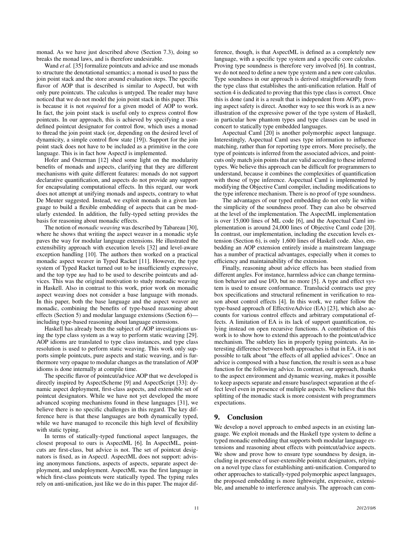monad. As we have just described above (Section 7.3), doing so breaks the monad laws, and is therefore undesirable.

Wand *et al.* [35] formalize pointcuts and advice and use monads to structure the denotational semantics; a monad is used to pass the join point stack and the store around evaluation steps. The specific flavor of AOP that is described is similar to AspectJ, but with only pure pointcuts. The calculus is untyped. The reader may have noticed that we do not model the join point stack in this paper. This is because it is not *required* for a given model of AOP to work. In fact, the join point stack is useful only to express control flow pointcuts. In our approach, this is achieved by specifying a userdefined pointcut designator for control flow, which uses a monad to thread the join point stack (or, depending on the desired level of dynamicity, a simple control flow state [19]). Support for the join point stack does not have to be included as a primitive in the core language. This is in fact how AspectJ is implemented.

Hofer and Osterman [12] shed some light on the modularity benefits of monads and aspects, clarifying that they are different mechanisms with quite different features: monads do not support declarative quantification, and aspects do not provide any support for encapsulating computational effects. In this regard, our work does not attempt at unifying monads and aspects, contrary to what De Meuter suggested. Instead, we exploit monads in a given language to build a flexible embedding of aspects that can be modularly extended. In addition, the fully-typed setting provides the basis for reasoning about monadic effects.

The notion of *monadic weaving* was described by Tabareau [30], where he shows that writing the aspect weaver in a monadic style paves the way for modular language extensions. He illustrated the extensibility approach with execution levels [32] and level-aware exception handling [10]. The authors then worked on a practical monadic aspect weaver in Typed Racket [11]. However, the type system of Typed Racket turned out to be insufficiently expressive, and the top type Any had to be used to describe pointcuts and advices. This was the original motivation to study monadic weaving in Haskell. Also in contrast to this work, prior work on monadic aspect weaving does not consider a base language with monads. In this paper, both the base language and the aspect weaver are monadic, combining the benefits of type-based reasoning about effects (Section 5) and modular language extensions (Section 6) including type-based reasoning about language extensions.

Haskell has already been the subject of AOP investigations using the type class system as a way to perform static weaving [29]. AOP idioms are translated to type class instances, and type class resolution is used to perform static weaving. This work only supports simple pointcuts, pure aspects and static weaving, and is furthermore very opaque to modular changes as the translation of AOP idioms is done internally at compile time.

The specific flavor of pointcut/advice AOP that we developed is directly inspired by AspectScheme [9] and AspectScript [33]: dynamic aspect deployment, first-class aspects, and extensible set of pointcut designators. While we have not yet developed the more advanced scoping mechanisms found in these languages [31], we believe there is no specific challenges in this regard. The key difference here is that these languages are both dynamically typed, while we have managed to reconcile this high level of flexibility with static typing.

In terms of statically-typed functional aspect languages, the closest proposal to ours is AspectML [6]. In AspectML, pointcuts are first-class, but advice is not. The set of pointcut designators is fixed, as in AspectJ. AspectML does not support: advising anonymous functions, aspects of aspects, separate aspect deployment, and undeployment. AspectML was the first language in which first-class pointcuts were statically typed. The typing rules rely on anti-unification, just like we do in this paper. The major difference, though, is that AspectML is defined as a completely new language, with a specific type system and a specific core calculus. Proving type soundness is therefore very involved [6]. In contrast, we do not need to define a new type system and a new core calculus. Type soundness in our approach is derived straightforwardly from the type class that establishes the anti-unification relation. Half of section 4 is dedicated to proving that this type class is correct. Once this is done (and it is a result that is independent from AOP), proving aspect safety is direct. Another way to see this work is as a new illustration of the expressive power of the type system of Haskell, in particular how phantom types and type classes can be used in concert to statically type embedded languages.

Aspectual Caml [20] is another polymorphic aspect language. Interestingly, Aspectual Caml uses type information to influence matching, rather than for reporting type errors. More precisely, the type of pointcuts is inferred from the associated advices, and pointcuts only match join points that are valid according to these inferred types. We believe this approach can be difficult for programmers to understand, because it combines the complexities of quantification with those of type inference. Aspectual Caml is implemented by modifying the Objective Caml compiler, including modifications to the type inference mechanism. There is no proof of type soundness.

The advantages of our typed embedding do not only lie within the simplicity of the soundness proof. They can also be observed at the level of the implementation. The AspectML implementation is over 15,000 lines of ML code [6], and the Aspectual Caml implementation is around 24,000 lines of Objective Caml code [20]. In contrast, our implementation, including the execution levels extension (Section 6), is only 1,600 lines of Haskell code. Also, embedding an AOP extension entirely inside a mainstream language has a number of practical advantages, especially when it comes to efficiency and maintainability of the extension.

Finally, reasoning about advice effects has been studied from different angles. For instance, harmless advice can change termination behavior and use I/O, but no more [5]. A type and effect system is used to ensure conformance. Translucid contracts use grey box specifications and structural refinement in verification to reason about control effects [4]. In this work, we rather follow the type-based approach of EffectiveAdvice (EA) [23], which also accounts for various control effects and arbitrary computational effects. A limitation of EA is its lack of support quantification, relying instead on open recursive functions. A contribution of this work is to show how to extend this approach to the pointcut/advice mechanism. The subtlety lies in properly typing pointcuts. An interesting difference between both approaches is that in EA, it is not possible to talk about "the effects of all applied advices". Once an advice is composed with a base function, the result is seen as a base function for the following advice. In contrast, our approach, thanks to the aspect environment and dynamic weaving, makes it possible to keep aspects separate and ensure base/aspect separation at the effect level even in presence of multiple aspects. We believe that this splitting of the monadic stack is more consistent with programmers expectations.

### 9. Conclusion

We develop a novel approach to embed aspects in an existing language. We exploit monads and the Haskell type system to define a typed monadic embedding that supports both modular language extensions and reasoning about effects with pointcut/advice aspects. We show and prove how to ensure type soundness by design, including in presence of user-extensible pointcut designators, relying on a novel type class for establishing anti-unification. Compared to other approaches to statically-typed polymorphic aspect languages, the proposed embedding is more lightweight, expressive, extensible, and amenable to interference analysis. The approach can com